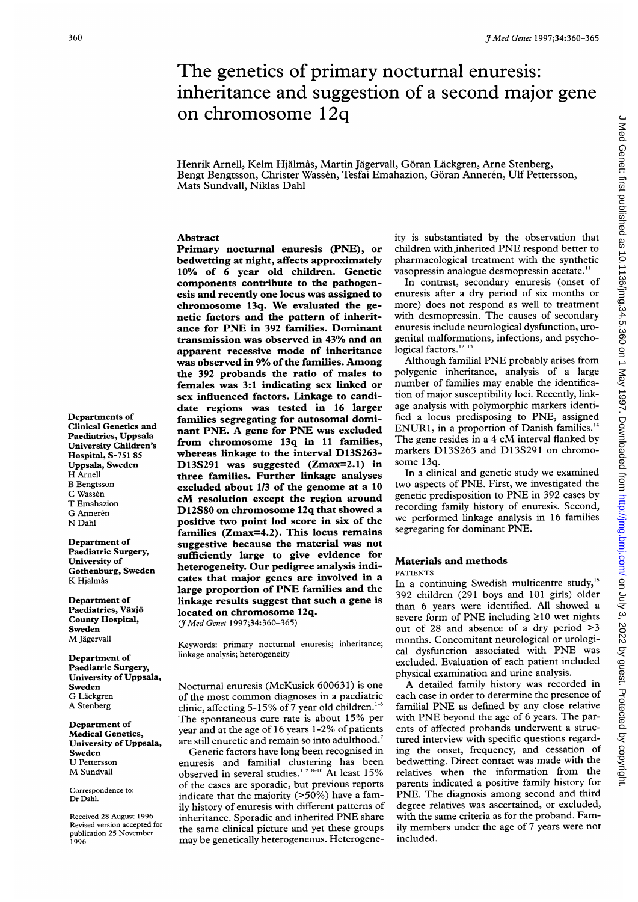# $3$ <sup>Med Genet 1997;34:360-365</sup><br>The genetics of primary nocturnal enuresis: The genetics of primary nocturnal enuresis: inheritance and suggestion of <sup>a</sup> second major gene on chromosome 12q

#### Abstract

Primary nocturnal enuresis (PNE), or bedwetting at night, affects approximately 10% of 6 year old children. Genetic components contribute to the pathogenesis and recently one locus was assigned to chromosome 13q. We evaluated the genetic factors and the pattern of inheritance for PNE in <sup>392</sup> families. Dominant transmission was observed in 43% and an apparent recessive mode of inheritance was observed in 9% of the families. Among the 392 probands the ratio of males to females was 3:1 indicating sex linked or sex influenced factors. Linkage to candidate regions was tested in 16 larger families segregating for autosomal dominant PNE. A gene for PNE was excluded from chromosome 13q in <sup>11</sup> families, whereas linkage to the interval D13S263- D13S291 was suggested (Zmax=2.1) in three families. Further linkage analyses excluded about 1/3 of the genome at a 10 cM resolution except the region around D12S80 on chromosome 12q that showed a positive two point lod score in six of the families (Zmax=4.2). This locus remains suggestive because the material was not sufficiently large to give evidence for heterogeneity. Our pedigree analysis indicates that major genes are involved in a large proportion of PNE families and the linkage results suggest that such a gene is located on chromosome 12q.

(JMed Genet 1997;34:360-365)

Keywords: primary nocturnal enuresis; inheritance; linkage analysis; heterogeneity

Nocturnal enuresis (McKusick 600631) is one of the most common diagnoses in <sup>a</sup> paediatric clinic, affecting 5-15% of 7 year old children. $1-6$ The spontaneous cure rate is about 15% per year and at the age of 16 years 1-2% of patients are still enuretic and remain so into adulthood.<sup>7</sup> Genetic factors have long been recognised in enuresis and familial clustering has been observed in several studies.<sup>1 2 8-10</sup> At least 15% of the cases are sporadic, but previous reports indicate that the majority (>50%) have a family history of enuresis with different patterns of inheritance. Sporadic and inherited PNE share the same clinical picture and yet these groups may be genetically heterogeneous. Heterogeneity is substantiated by the observation that children with.inherited PNE respond better to pharmacological treatment with the synthetic vasopressin analogue desmopressin acetate."'

In contrast, secondary enuresis (onset of enuresis after a dry period of six months or more) does not respond as well to treatment with desmopressin. The causes of secondary enuresis include neurological dysfunction, urogenital malformations, infections, and psychological factors.<sup>12 13</sup>

Although familial PNE probably arises from polygenic inheritance, analysis of a large number of families may enable the identification of major susceptibility loci. Recently, linkage analysis with polymorphic markers identified <sup>a</sup> locus predisposing to PNE, assigned ENUR1, in <sup>a</sup> proportion of Danish families.'4 The gene resides in a 4 cM interval flanked by markers D13S263 and D13S291 on chromosome 13q.

In <sup>a</sup> clinical and genetic study we examined two aspects of PNE. First, we investigated the genetic predisposition to PNE in 392 cases by recording family history of enuresis. Second, we performed linkage analysis in 16 families segregating for dominant PNE.

# Materials and methods

PATIENTS

In a continuing Swedish multicentre study,<sup>15</sup> 392 children (291 boys and 101 girls) older than 6 years were identified. All showed a severe form of PNE including  $\geq 10$  wet nights out of 28 and absence of <sup>a</sup> dry period >3 months. Concomitant neurological or urological dysfunction associated with PNE was excluded. Evaluation of each patient included physical examination and urine analysis.

A detailed family history was recorded in each case in order to determine the presence of familial PNE as defined by any close relative with PNE beyond the age of <sup>6</sup> years. The parents of affected probands underwent a structured interview with specific questions regarding the onset, frequency, and cessation of bedwetting. Direct contact was made with the relatives when the information from the parents indicated a positive family history for PNE. The diagnosis among second and third degree relatives was ascertained, or excluded, with the same criteria as for the proband. Family members under the age of 7 years were not included.

Departments of Clinical Genetics and Paediatrics, Uppsala University Children's Hospital, S-751 85 Uppsala, Sweden H Arnell B Bengtsson C Wassen T Emahazion G Annerén N Dahl

Department of Paediatric Surgery, University of Gothenburg, Sweden K Hjälmås

Department of Paediatrics, Växjö County Hospital, Sweden M Jagervall

Department of Paediatric Surgery, University of Uppsala, Sweden G Lackgren A Stenberg

Department of Medical Genetics, University of Uppsala, Sweden U Pettersson M Sundvall

Correspondence to: Dr Dahl.

Received 28 August 1996 Revised version accepted for publication 25 November 1996

Henrik Arnell, Kelm Hjälmås, Martin Jägervall, Göran Läckgren, Arne Stenberg, Bengt Bengtsson, Christer Wassen, Tesfai Emahazion, Goran Anneren, Ulf Pettersson, Mats Sundvall, Niklas Dahl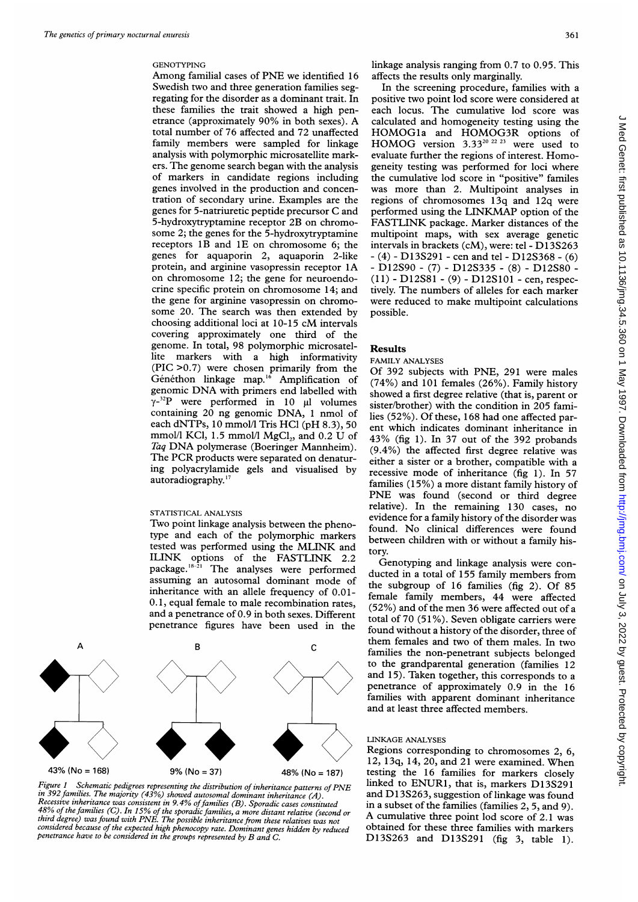# GENOTYPING

Among familial cases of PNE we identified <sup>16</sup> Swedish two and three generation families segregating for the disorder as a dominant trait. In these families the trait showed a high penetrance (approximately 90% in both sexes). A total number of 76 affected and 72 unaffected family members were sampled for linkage analysis with polymorphic microsatellite markers. The genome search began with the analysis of markers in candidate regions including genes involved in the production and concentration of secondary urine. Examples are the genes for 5-natriuretic peptide precursor C and 5-hydroxytryptamine receptor 2B on chromosome 2; the genes for the 5-hydroxytryptamine receptors 1B and 1E on chromosome 6; the genes for aquaporin 2, aquaporin 2-like protein, and arginine vasopressin receptor 1A on chromosome 12; the gene for neuroendocrine specific protein on chromosome 14; and the gene for arginine vasopressin on chromosome 20. The search was then extended by choosing additional loci at 10-15 cM intervals covering approximately one third of the genome. In total, 98 polymorphic microsatellite markers with a high informativity (PIC >0.7) were chosen primarily from the Généthon linkage map.<sup>16</sup> Amplification of genomic DNA with primers end labelled with  $Y^{-32}P$  were performed in 10  $\mu$ l volumes containing 20 ng genomic DNA, <sup>1</sup> nmol of each dNTPs, 10 mmol/l Tris HCl (pH 8.3), 50 mmol/l KCl,  $1.5$  mmol/l MgCl<sub>2</sub>, and  $0.2$  U of Taq DNA polymerase (Boeringer Mannheim). The PCR products were separated on denaturing polyacrylamide gels and visualised by autoradiography.<sup>17</sup>

#### STATISTICAL ANALYSIS

Two point linkage analysis between the phenotype and each of the polymorphic markers tested was performed using the MLINK and ILINK options of the FASTLINK 2.2 package.<sup>18-21</sup> The analyses were performed assuming an autosomal dominant mode of inheritance with an allele frequency of 0.01- 0.1, equal female to male recombination rates, and a penetrance of 0.9 in both sexes. Different penetrance figures have been used in the



Figure 1 Schematic pedigrees representing the distribution of inheritance patterns of PNE in 392 families. The majority (43%) showed autosomal dominant inheritance (A). Recessive inheritance was consistent in 9.4% of families (B). Sporadic cases constituted<br>48% of the families (C). In 15% of the sporadic families, a more distant relative (second or third degree) was found with PNE. The possible inheritance from these relatives was not considered because of the expected high phenocopy rate. Dominant genes hidden by reduced penetrance have to be considered in the groups represented by B and C.

linkage analysis ranging from 0.7 to 0.95. This affects the results only marginally.

In the screening procedure, families with a positive two point lod score were considered at each locus. The cumulative lod score was calculated and homogeneity testing using the HOMOGla and HOMOG3R options of HOMOG version  $3.33^{20}$   $^{22}$   $^{23}$  were used to evaluate further the regions of interest. Homogeneity testing was performed for loci where the cumulative lod score in "positive" familes was more than 2. Multipoint analyses in regions of chromosomes 13q and 12q were performed using the LINKMAP option of the FASTLINK package. Marker distances of the multipoint maps, with sex average genetic intervals in brackets (cM), were: tel - D13S263  $- (4) - D13S291 -$  cen and tel - D12S368 - (6) - D12S90 - (7) - D12S335 - (8) - D12S80 - (11) - D12S81 - (9) - D12S101 - cen, respectively. The numbers of alleles for each marker were reduced to make multipoint calculations possible.

#### Results

# FAMILY ANALYSES

Of 392 subjects with PNE, 291 were males (74%) and 101 females (26%). Family history showed <sup>a</sup> first degree relative (that is, parent or sister/brother) with the condition in 205 families (52%). Of these, 168 had one affected parent which indicates dominant inheritance in 43% (fig 1). In <sup>37</sup> out of the 392 probands (9.4%) the affected first degree relative was either a sister or a brother, compatible with a recessive mode of inheritance (fig 1). In 57 families (15%) a more distant family history of PNE was found (second or third degree relative). In the remaining 130 cases, no evidence for a family history of the disorder was found. No clinical differences were found between children with or without a family history.

Genotyping and linkage analysis were conducted in a total of 155 family members from the subgroup of 16 families (fig 2). Of 85 female family members, 44 were affected (52%) and of the men 36 were affected out of <sup>a</sup> total of 70 (51 %). Seven obligate carriers were found without a history of the disorder, three of them females and two of them males. In two families the non-penetrant subjects belonged to the grandparental generation (families 12 and 15). Taken together, this corresponds to a penetrance of approximately 0.9 in the 16 families with apparent dominant inheritance and at least three affected members.

### LINKAGE ANALYSES

Regions corresponding to chromosomes 2, 6, 12, 13q, 14, 20, and 21 were examined. When testing the 16 families for markers closely linked to ENURI, that is, markers D13S291 and DI3S263, suggestion of linkage was found in a subset of the families (families 2, 5, and 9). A cumulative three point lod score of 2.1 was obtained for these three families with markers D13S263 and D13S291 (fig 3, table 1).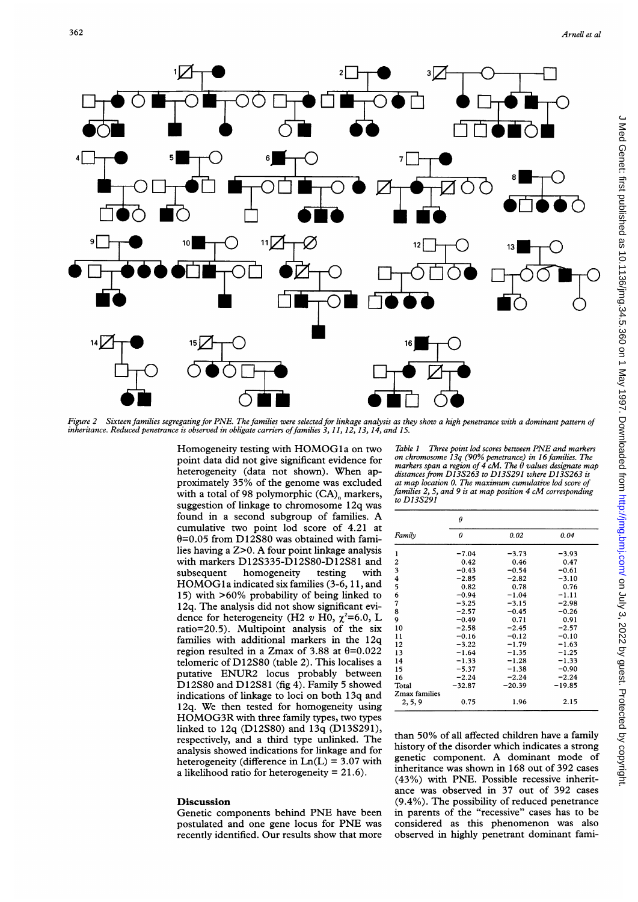

Figure 2 Sixteen families segregating for PNE. The families were selected for linkage analysis as they show a high penetrance with a dominant pattern of inheritance. Reduced penetrance is observed in obligate carriers offamilies 3, 11, 12, 13, 14, and 15.

Homogeneity testing with HOMOGla on two point data did not give significant evidence for heterogeneity (data not shown). When approximately 35% of the genome was excluded with a total of 98 polymorphic (CA)<sub>n</sub> markers, suggestion of linkage to chromosome 12q was found in <sup>a</sup> second subgroup of families. A cumulative two point lod score of 4.21 at  $\theta$ =0.05 from D12S80 was obtained with families having <sup>a</sup> Z>0. A four point linkage analysis with markers D12S335-D12S80-D12S81 and subsequent homogeneity testing with HOMOGl<sup>a</sup> indicated six families (3-6, 11, and 15) with >60% probability of being linked to 12q. The analysis did not show significant evidence for heterogeneity (H2 v H0,  $\chi^2$ =6.0, L ratio=20.5). Multipoint analysis of the six families with additional markers in the 12q region resulted in a Zmax of 3.88 at  $\theta$ =0.022 telomeric of D12S80 (table 2). This localises a putative ENUR2 locus probably between D12S80 and D12S81 (fig 4). Family <sup>5</sup> showed indications of linkage to loci on both 13q and 12q. We then tested for homogeneity using HOMOG3R with three family types, two types linked to 12q (D12S80) and 13q (D13S291), respectively, and <sup>a</sup> third type unlinked. The analysis showed indications for linkage and for heterogeneity (difference in  $Ln(L) = 3.07$  with a likelihood ratio for heterogeneity  $= 21.6$ ).

#### Discussion

Genetic components behind PNE have been postulated and one gene locus for PNE was recently identified. Our results show that more

Table <sup>1</sup> Three point lod scores between PNE and markers on chromosome 13q (90% penetrance) in 16families. The markers span a region of 4 cM. The 0 values designate map distances from D13S263 to D13S291 where D13S263 is at map location 0. The maximum cumulative lod score of families 2, 5, and <sup>9</sup> is at map position 4 cM corresponding to D13S291

|               | θ        |          |          |  |  |  |  |
|---------------|----------|----------|----------|--|--|--|--|
| Family        | 0        | 0.02     | 0.04     |  |  |  |  |
| 1             | $-7.04$  | $-3.73$  | $-3.93$  |  |  |  |  |
| 2             | 0.42     | 0.46     | 0.47     |  |  |  |  |
| 3             | $-0.43$  | $-0.54$  | $-0.61$  |  |  |  |  |
| 4             | $-2.85$  | $-2.82$  | $-3.10$  |  |  |  |  |
| 5             | 0.82     | 0.78     | 0.76     |  |  |  |  |
| 6             | $-0.94$  | $-1.04$  | $-1.11$  |  |  |  |  |
| 7             | $-3.25$  | $-3.15$  | $-2.98$  |  |  |  |  |
| 8             | $-2.57$  | $-0.45$  | $-0.26$  |  |  |  |  |
| 9             | $-0.49$  | 0.71     | 0.91     |  |  |  |  |
| 10            | $-2.58$  | $-2.45$  | $-2.57$  |  |  |  |  |
| 11            | $-0.16$  | $-0.12$  | $-0.10$  |  |  |  |  |
| 12            | $-3.22$  | $-1.79$  | $-1.63$  |  |  |  |  |
| 13            | $-1.64$  | $-1.35$  | $-1.25$  |  |  |  |  |
| 14            | $-1.33$  | $-1.28$  | $-1.33$  |  |  |  |  |
| 15            | $-5.37$  | $-1.38$  | $-0.90$  |  |  |  |  |
| 16            | $-2.24$  | $-2.24$  | $-2.24$  |  |  |  |  |
| Total         | $-32.87$ | $-20.39$ | $-19.85$ |  |  |  |  |
| Zmax families |          |          |          |  |  |  |  |
| 2, 5, 9       | 0.75     | 1.96     | 2.15     |  |  |  |  |

than 50% of all affected children have <sup>a</sup> family history of the disorder which indicates a strong genetic component. A dominant mode of inheritance was shown in 168 out of 392 cases (43%) with PNE. Possible recessive inheritance was observed in 37 out of 392 cases (9.4%). The possibility of reduced penetrance in parents of the "recessive" cases has to be considered as this phenomenon was also observed in highly penetrant dominant fami-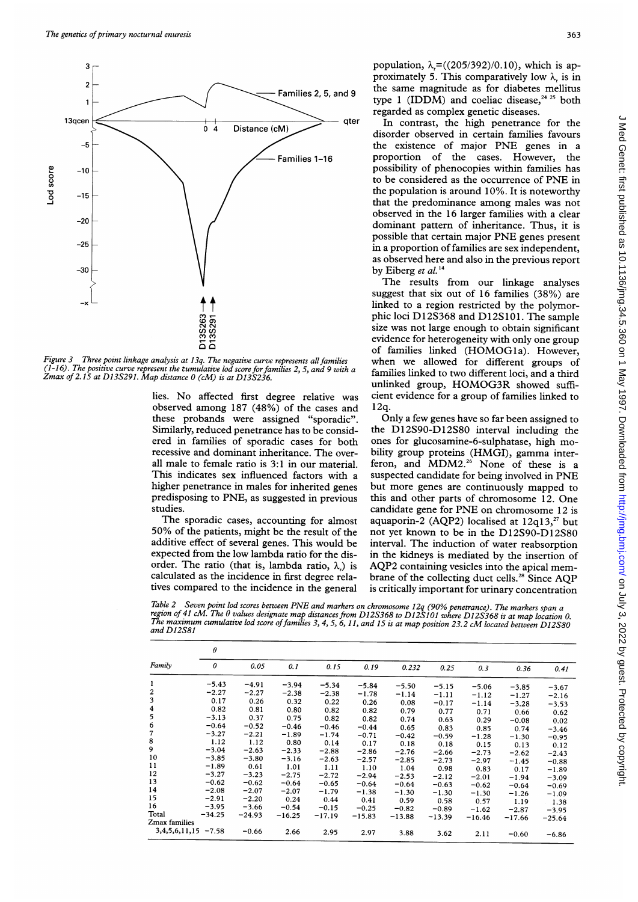

Figure 3 Three point linkage analysis at 13q. The negative curve represents all families (1-16). The positive curve represent the rumulative lod score for families 2, 5, and 9 w Zmax of 2.15 at D13S291. Map distance 0 (cM) is at D13S236.

lies. No affected first degree relative observed among 187 (48%) of the cases and 12q. these probands were assigned "sporadic". Similarly, reduced penetrance has to be considered in families of sporadic cases for both recessive and dominant inheritance. The overall male to female ratio is 3:1 in our material. This indicates sex influenced factors with a higher penetrance in males for inherited genes predisposing to PNE, as suggested in prev studies.

The sporadic cases, accounting for almost 50% of the patients, might be the result of additive effect of several genes. This would be expected from the low lambda ratio for the order. The ratio (that is, lambda ratio,  $\lambda$ ) is calculated as the incidence in first degree <sup>r</sup> tives compared to the incidence in the general

population,  $\lambda$ <sub>r</sub>=((205/392)/0.10), which is approximately 5. This comparatively low  $\lambda$  is in the same magnitude as for diabetes mellitus type 1 (IDDM) and coeliac disease.<sup>24 25</sup> both regarded as complex genetic diseases.

qter In contrast, the high penetrance for the disorder observed in certain families favours the existence of major PNE genes in <sup>a</sup> proportion of the cases. However, the possibility of phenocopies within families has to be considered as the occurrence of PNE in the population is around 10%. It is noteworthy that the predominance among males was not observed in the 16 larger families with a clear dominant pattern of inheritance. Thus, it is possible that certain major PNE genes present in a proportion of families are sex independent, as observed here and also in the previous report by Eiberg et al.<sup>1</sup>

> The results from our linkage analyses suggest that six out of 16 families (38%) are linked to <sup>a</sup> region restricted by the polymorphic loci D12S368 and D12S101. The sample size was not large enough to obtain significant evidence for heterogeneity with only one group of families linked (HOMOGla). However, when we allowed for different groups of families linked to two different loci, and a third unlinked group, HOMOG3R showed sufficient evidence for a group of families linked to  $12a$ .

Only a few genes have so far been assigned to the D12S90-D12S80 interval including the ones for glucosamine-6-sulphatase, high mobility group proteins (HMGI), gamma interferon, and MDM2.<sup>26</sup> None of these is a suspected candidate for being involved in PNE but more genes are continuously mapped to this and other parts of chromosome 12. One candidate gene for PNE on chromosome <sup>12</sup> is aquaporin-2 (AQP2) localised at  $12q13$ ,<sup>27</sup> but not yet known to be in the D12S90-D12S80 interval. The induction of water reabsorption in the kidneys is mediated by the insertion of AQP2 containing vesicles into the apical membrane of the collecting duct cells.<sup>28</sup> Since AQP is critically important for urinary concentration

Table 2 Seven point lod scores between PNE and markers on chromosome 12q (90% penetrance). The markers span a<br>region of 41 cM. The  $\theta$  values designate map distances from D12S368 to D12S101 where D12S368 is at map locatio

|                | $\theta$              |          |          |          |          |          |          |          |          |          |
|----------------|-----------------------|----------|----------|----------|----------|----------|----------|----------|----------|----------|
| Family         | 0                     | 0.05     | 0.1      | 0.15     | 0.19     | 0.232    | 0.25     | 0.3      | 0.36     | 0.41     |
| 1              | $-5.43$               | $-4.91$  | $-3.94$  | $-5.34$  | $-5.84$  | $-5.50$  | $-5.15$  | $-5.06$  | $-3.85$  | $-3.67$  |
| $\frac{2}{3}$  | $-2.27$               | $-2.27$  | $-2.38$  | $-2.38$  | $-1.78$  | $-1.14$  | $-1.11$  | $-1.12$  | $-1.27$  | $-2.16$  |
|                | 0.17                  | 0.26     | 0.32     | 0.22     | 0.26     | 0.08     | $-0.17$  | $-1.14$  | $-3.28$  | $-3.53$  |
| $\frac{4}{5}$  | 0.82                  | 0.81     | 0.80     | 0.82     | 0.82     | 0.79     | 0.77     | 0.71     | 0.66     | 0.62     |
|                | $-3.13$               | 0.37     | 0.75     | 0.82     | 0.82     | 0.74     | 0.63     | 0.29     | $-0.08$  | 0.02     |
| 6              | $-0.64$               | $-0.52$  | $-0.46$  | $-0.46$  | $-0.44$  | 0.65     | 0.83     | 0.85     | 0.74     | $-3.46$  |
| $\overline{7}$ | $-3.27$               | $-2.21$  | $-1.89$  | $-1.74$  | $-0.71$  | $-0.42$  | $-0.59$  | $-1.28$  | $-1.30$  | $-0.95$  |
| 8              | 1.12                  | 1.12     | 0.80     | 0.14     | 0.17     | 0.18     | 0.18     | 0.15     | 0.13     | 0.12     |
| 9              | $-3.04$               | $-2.63$  | $-2.33$  | $-2.88$  | $-2.86$  | $-2.76$  | $-2.66$  | $-2.73$  | $-2.62$  | $-2.43$  |
| 10             | $-3.85$               | $-3.80$  | $-3.16$  | $-2.63$  | $-2.57$  | $-2.85$  | $-2.73$  | $-2.97$  | $-1.45$  | $-0.88$  |
| 11             | $-1.89$               | 0.61     | 1.01     | 1.11     | 1.10     | 1.04     | 0.98     | 0.83     | 0.17     | $-1.89$  |
| 12             | $-3.27$               | $-3.23$  | $-2.75$  | $-2.72$  | $-2.94$  | $-2.53$  | $-2.12$  | $-2.01$  | $-1.94$  | $-3.09$  |
| 13             | $-0.62$               | $-0.62$  | $-0.64$  | $-0.65$  | $-0.64$  | $-0.64$  | $-0.63$  | $-0.62$  | $-0.64$  | $-0.69$  |
| 14             | $-2.08$               | $-2.07$  | $-2.07$  | $-1.79$  | $-1.38$  | $-1.30$  | $-1.30$  | $-1.30$  | $-1.26$  | $-1.09$  |
| 15             | $-2.91$               | $-2.20$  | 0.24     | 0.44     | 0.41     | 0.59     | 0.58     | 0.57     | 1.19     | $-1.38$  |
| 16             | $-3.95$               | $-3.66$  | $-0.54$  | $-0.15$  | $-0.25$  | $-0.82$  | $-0.89$  | $-1.62$  | $-2.87$  | $-3.95$  |
| Total          | $-34.25$              | $-24.93$ | $-16.25$ | $-17.19$ | $-15.83$ | $-13.88$ | $-13.39$ | $-16.46$ | $-17.66$ | $-25.64$ |
| Zmax families  |                       |          |          |          |          |          |          |          |          |          |
|                | $3,4,5,6,11,15 -7.58$ | $-0.66$  | 2.66     | 2.95     | 2.97     | 3.88     | 3.62     | 2.11     | $-0.60$  | $-6.86$  |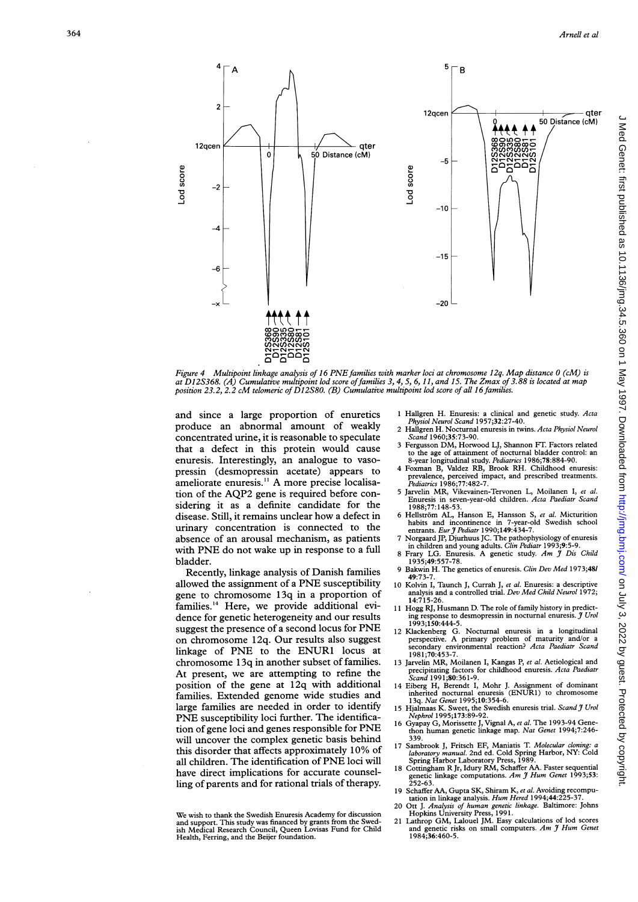

Figure 4 Multipoint linkage analysis of 16 PNE families with marker loci at chromosome 12q. Map distance 0 (cM) is at D12S368. (A) Cumulative multipoint lod score offamilies 3, 4, 5, 6, 11, and 15. The Zmax of 3.88 is located at map position 23.2, 2.2 cM telomeric of D12S80. (B) Cumulative multipoint lod score of all <sup>16</sup> families.

and since a large proportion of enuretics produce an abnormal amount of weakly concentrated urine, it is reasonable to speculate that a defect in this protein would cause enuresis. Interestingly, an analogue to vasopressin (desmopressin acetate) appears to ameliorate enuresis.<sup>11</sup> A more precise localisation of the AQP2 gene is required before considering it as a definite candidate for the disease. Still, it remains unclear how a defect in urinary concentration is connected to the absence of an arousal mechanism, as patients with PNE do not wake up in response to a full bladder.

Recently, linkage analysis of Danish families allowed the assignment of <sup>a</sup> PNE susceptibility gene to chromosome 13q in a proportion of families.'4 Here, we provide additional evidence for genetic heterogeneity and our results suggest the presence of <sup>a</sup> second locus for PNE on chromosome 12q. Our results also suggest linkage of PNE to the ENUR1 locus at chromosome <sup>1</sup> 3q in another subset of families. At present, we are attempting to refine the position of the gene at 12q with additional families. Extended genome wide studies and large families are needed in order to identify PNE susceptibility loci further. The identification of gene loci and genes responsible for PNE will uncover the complex genetic basis behind this disorder that affects approximately 10% of all children. The identification of PNE loci will have direct implications for accurate counselling of parents and for rational trials of therapy.

- <sup>1</sup> Hallgren H. Enuresis: a clinical and genetic study. Acta Physiol Neurol Scand 1957;32:27-40.
- 2 Hallgren H. Nocturnal enuresis in twins. Acta Physiol Neurol Scand 1960;35:73-90. <sup>3</sup> Fergusson DM, Horwood LJ, Shannon FT. Factors related
- to the age of attainment of nocturnal bladder control: an<br>8-year longitudinal study. *Pediatrics* 1986;78:884-90. 4 Foxman B, Valdez RB, Brook RH. Childhood enuresis:
- prevalence, perceived impact, and prescribed treatments.<br>Pediatrics 1986;77:482-7. <sup>5</sup> Jarvelin MR, Vikevainen-Tervonen L, Moilanen I, et al.
- Enuresis in seven-year-old children. Acta Paediatr Scand 1988;77: 148-53.
- 6 Hellström AL, Hanson E, Hansson S, et al. Micturition habits and incontinence in 7-year-old Swedish school<br>entrants. Eur J Pediatr 1990;149:434-7.
- 7 Norgaard JP, Djurhuus JC. The pathophysiology of enuresis<br>
in children and young adults. *Clin Pediatr* 1993;9:5-9.<br>
8 Frary LG. Enuresis. A genetic study. Am J Dis Child<br>
1935;49:557-78.
- 
- <sup>9</sup> Bakwin H. The genetics of enuresis. Clin Dev Med 1973;48/
- 49:73-7.<br>10 Kolvin I, Taunch J, Currah J, et al. Enuresis: a descriptive<br>analysis and a controlled trial. Dev Med Child Neurol 1972; 14:715-26.
- <sup>11</sup> Hogg RJ, Husmann D. The role of family history in predicting response to desmopressin in nocturnal enuresis. J Urol 1993;150:444-5.
- 12 Klackenberg G. Nocturnal enuresis in a longitudinal perspective. A primary problem of maturity and/or a secondary environmental reaction? Acta Paediatr Scand 1981;70:453-
- 13 Jarvelin MR, Moilanen I, Kangas P, et al. Aetiological and precipitating factors for childhood enuresis. Acta Paediatr Scand 1991;80:361-9.
- 14 Eiberg H, Berendt I, Mohr J. Assignment of dominant inherited nocturnal enuresis (ENURI) to chromosome 13q. Nat Genet 1995;10:354-6.
- 15 Hjalmaas K. Sweet, the Swedish enuresis trial. Scand J Urol
- Nephrol 1995;173:89-92.<br>16 Gyapay G, Morissette J, Vignal A, et al. The 1993-94 Gene-<br>thon human genetic linkage map. Nat Genet 1994;7:246-339.
- 17 Sambrook J, Fritsch EF, Maniatis T. Molecular cloning: 17 Sambrook J, Fritsch EF, Maniatis T. *Molecular cloning: a laboratory manual*. 2nd ed. Cold Spring Harbor, NY: Cold Spring Harbor Laboratory Press, 1989.<br>Spring Harbor Laboratory Press, 1989.<br>18 Cottingham R Jr, Idury RM
- Senetic linkage computations. Am J Hum Genet 1993;53:<br>252-63.
- Schaffer AA, Gupta SK, Shiram K, et al. Avoiding recomputation in linkage analysis. Hum Hered 1994;44:225-37. 20 Ott J. Analysis of human genetic linkage. Baltimore: Johns
- 
- Hopkins University Press, 1991. <sup>21</sup> Lathrop GM, Lalouel JM. Easy calculations of lod scores and genetic risks on small computers.  $Am \mathcal{J} H$ um Genet 1984;36:460-5.

We wish to thank the Swedish Enuresis Academy for discussion and support. This study was financed by grants from the Swed-ish Medical Research Council, Queen Lovisas Fund for Child Health, Ferring, and the Beijer foundation.